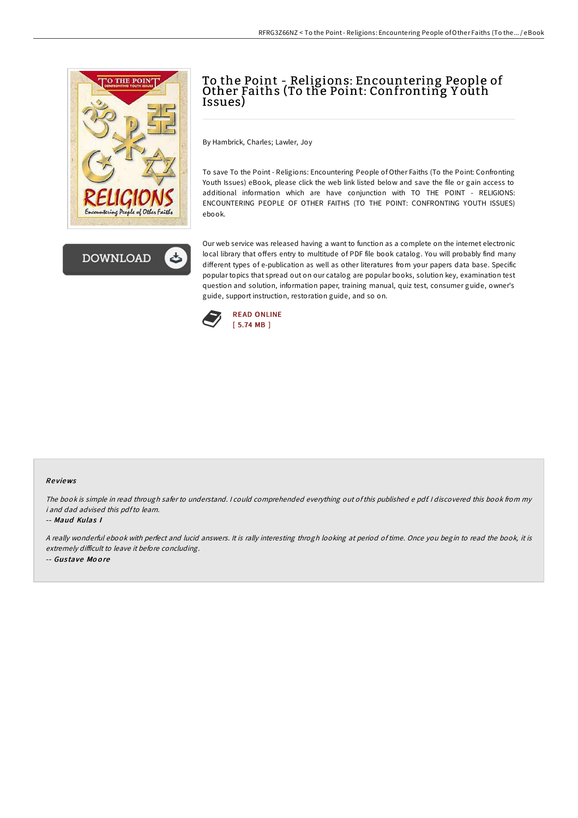



# To the Point - Religions: Encountering People of Other Faiths (To the Point: Confronting Youth Issues)

By Hambrick, Charles; Lawler, Joy

To save To the Point - Religions: Encountering People of Other Faiths (To the Point: Confronting Youth Issues) eBook, please click the web link listed below and save the file or gain access to additional information which are have conjunction with TO THE POINT - RELIGIONS: ENCOUNTERING PEOPLE OF OTHER FAITHS (TO THE POINT: CONFRONTING YOUTH ISSUES) ebook.

Our web service was released having a want to function as a complete on the internet electronic local library that offers entry to multitude of PDF file book catalog. You will probably find many different types of e-publication as well as other literatures from your papers data base. Specific popular topics that spread out on our catalog are popular books, solution key, examination test question and solution, information paper, training manual, quiz test, consumer guide, owner's guide, support instruction, restoration guide, and so on.



### Re views

The book is simple in read through safer to understand. <sup>I</sup> could comprehended everything out of this published <sup>e</sup> pdf. <sup>I</sup> discovered this book from my i and dad advised this pdfto learn.

#### -- Maud Kulas I

<sup>A</sup> really wonderful ebook with perfect and lucid answers. It is rally interesting throgh looking at period of time. Once you begin to read the book, it is extremely difficult to leave it before concluding. -- Gus tave Mo o re